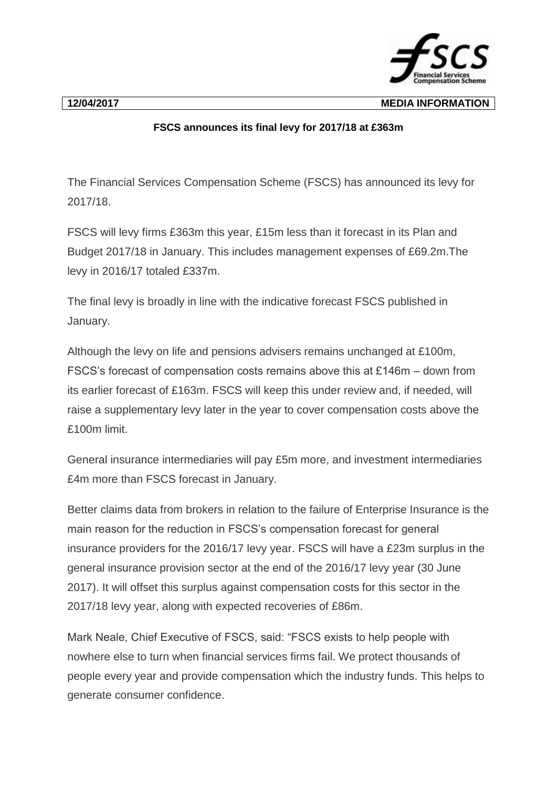**12/04/2017 MEDIA INFORMATION**

## **FSCS announces its final levy for 2017/18 at £363m**

The Financial Services Compensation Scheme (FSCS) has announced its levy for 2017/18.

FSCS will levy firms £363m this year, £15m less than it forecast in its Plan and Budget 2017/18 in January. This includes management expenses of £69.2m.The levy in 2016/17 totaled £337m.

The final levy is broadly in line with the indicative forecast FSCS published in January.

Although the levy on life and pensions advisers remains unchanged at £100m, FSCS's forecast of compensation costs remains above this at £146m – down from its earlier forecast of £163m. FSCS will keep this under review and, if needed, will raise a supplementary levy later in the year to cover compensation costs above the £100m limit.

General insurance intermediaries will pay £5m more, and investment intermediaries £4m more than FSCS forecast in January.

Better claims data from brokers in relation to the failure of Enterprise Insurance is the main reason for the reduction in FSCS's compensation forecast for general insurance providers for the 2016/17 levy year. FSCS will have a £23m surplus in the general insurance provision sector at the end of the 2016/17 levy year (30 June 2017). It will offset this surplus against compensation costs for this sector in the 2017/18 levy year, along with expected recoveries of £86m.

Mark Neale, Chief Executive of FSCS, said: "FSCS exists to help people with nowhere else to turn when financial services firms fail. We protect thousands of people every year and provide compensation which the industry funds. This helps to generate consumer confidence.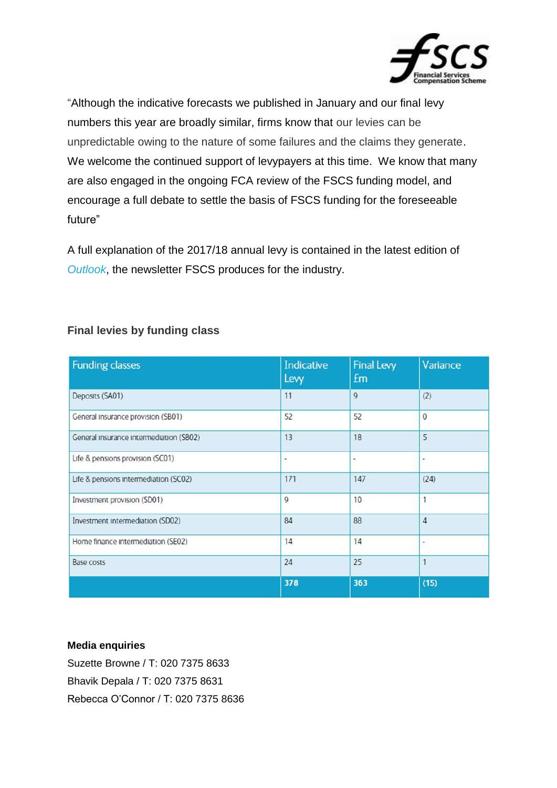

"Although the indicative forecasts we published in January and our final levy numbers this year are broadly similar, firms know that our levies can be unpredictable owing to the nature of some failures and the claims they generate. We welcome the continued support of levypayers at this time. We know that many are also engaged in the ongoing FCA review of the FSCS funding model, and encourage a full debate to settle the basis of FSCS funding for the foreseeable future"

A full explanation of the 2017/18 annual levy is contained in the latest edition of *[Outlook](https://www.fscs.org.uk/industry/publications/industry-newsletters/)*, the newsletter FSCS produces for the industry.

| <b>Funding classes</b>                  | Indicative<br>Levy | <b>Final Levy</b><br>£m | Variance       |
|-----------------------------------------|--------------------|-------------------------|----------------|
| Deposits (SA01)                         | 11                 | 9                       | (2)            |
| General Insurance provision (SB01)      | 52                 | 52                      | $\mathbf{0}$   |
| General Insurance Intermediation (SB02) | 13                 | 18                      | 5              |
| Life & pensions provision (SC01)        | ٠                  | ۰                       | ٠              |
| Life & pensions intermediation (SC02)   | 171                | 147                     | (24)           |
| Investment provision (SD01)             | 9                  | 10                      | 1              |
| Investment Intermediation (SD02)        | 84                 | 88                      | $\overline{4}$ |
| Home finance Intermediation (SE02)      | 14                 | 14                      | ٠              |
| Base costs                              | 24                 | 25                      | 1              |
|                                         | 378                | 363                     | (15)           |

## **Final levies by funding class**

## **Media enquiries**

Suzette Browne / T: 020 7375 8633 Bhavik Depala / T: 020 7375 8631 Rebecca O'Connor / T: 020 7375 8636